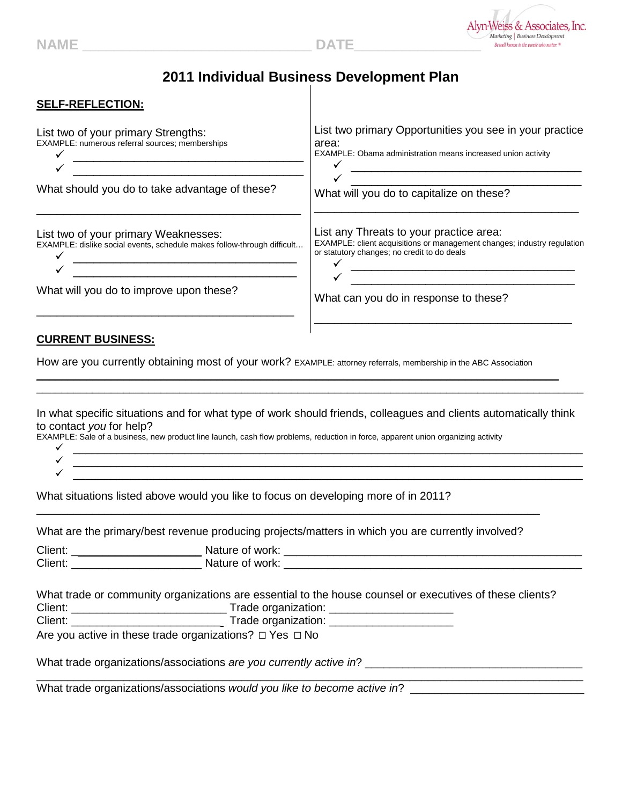

## **2011 Individual Business Development Plan**

| <b>SELF-REFLECTION:</b>                                                                                                                                                                                        |                                                                                                                                                                                                                                                                                           |  |
|----------------------------------------------------------------------------------------------------------------------------------------------------------------------------------------------------------------|-------------------------------------------------------------------------------------------------------------------------------------------------------------------------------------------------------------------------------------------------------------------------------------------|--|
| List two of your primary Strengths:<br>EXAMPLE: numerous referral sources; memberships<br><u> 2008 - Jan James James James James James James James James James James James James James James James James J</u> | List two primary Opportunities you see in your practice<br>area:<br>EXAMPLE: Obama administration means increased union activity<br><u> 2000 - 2000 - 2000 - 2000 - 2000 - 2000 - 2000 - 2000 - 2000 - 2000 - 2000 - 2000 - 2000 - 2000 - 2000 - 200</u>                                  |  |
| What should you do to take advantage of these?                                                                                                                                                                 | What will you do to capitalize on these?                                                                                                                                                                                                                                                  |  |
| List two of your primary Weaknesses:<br>EXAMPLE: dislike social events, schedule makes follow-through difficult<br><u> 1989 - Johann John Stone, mars eta biztanleria (h. 1982).</u>                           | List any Threats to your practice area:<br>EXAMPLE: client acquisitions or management changes; industry regulation<br>or statutory changes; no credit to do deals<br><u> 2000 - Jan James James James James James James James James James James James James James James James James J</u> |  |
| What will you do to improve upon these?                                                                                                                                                                        | <u> 1989 - Johann Stoff, amerikansk politiker (d. 1989)</u><br>What can you do in response to these?<br><u> 2000 - 2000 - 2000 - 2000 - 2000 - 2000 - 2000 - 2000 - 2000 - 2000 - 2000 - 2000 - 2000 - 2000 - 2000 - 200</u>                                                              |  |
| to contact you for help?<br>EXAMPLE: Sale of a business, new product line launch, cash flow problems, reduction in force, apparent union organizing activity                                                   | In what specific situations and for what type of work should friends, colleagues and clients automatically think<br><u> 2000 - 2000 - 2000 - 2000 - 2000 - 2000 - 2000 - 2000 - 2000 - 2000 - 2000 - 2000 - 2000 - 2000 - 2000 - 200</u>                                                  |  |
|                                                                                                                                                                                                                |                                                                                                                                                                                                                                                                                           |  |
| What situations listed above would you like to focus on developing more of in 2011?                                                                                                                            |                                                                                                                                                                                                                                                                                           |  |
| What are the primary/best revenue producing projects/matters in which you are currently involved?                                                                                                              |                                                                                                                                                                                                                                                                                           |  |
|                                                                                                                                                                                                                |                                                                                                                                                                                                                                                                                           |  |
| What trade or community organizations are essential to the house counsel or executives of these clients?                                                                                                       |                                                                                                                                                                                                                                                                                           |  |
| Are you active in these trade organizations? $\Box$ Yes $\Box$ No                                                                                                                                              |                                                                                                                                                                                                                                                                                           |  |
|                                                                                                                                                                                                                |                                                                                                                                                                                                                                                                                           |  |

What trade organizations/associations *would you like to become active in*? \_\_\_\_\_\_\_\_\_\_\_\_\_\_\_\_\_\_\_\_\_\_\_\_\_\_\_\_